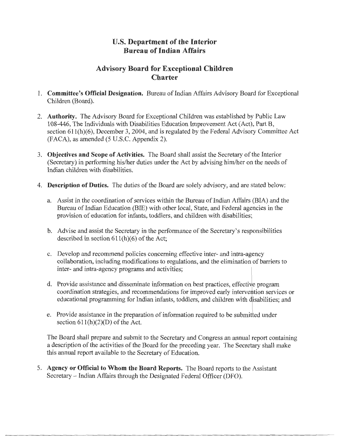## **U.S. Department of the Interior Bureau of Indian Affairs**

## **Advisory Board for Exceptional Children Charter**

- 1. **Committee's Official Designation.** Bureau of Indian Affairs Advisory Board for Exceptional Children (Board).
- 2. **Authority.** The Advisory Board for Exceptional Children was established by Public Law 108-446, The Individuals with Disabilities Education Improvement Act (Act), Part B, section 611(h)(6), December 3, 2004, and is regulated by the Federal Advisory Committee Act (FACA), as amended (5 U.S.C. Appendix 2).
- 3. **Objectives and Scope of Activities.** The Board shall assist the Secretary of the Interior (Secretary) in performing his/her duties under the Act by advising him/her on the needs of Indian children with disabilities.
- 4. **Description of Duties.** The duties of the Board are solely advisory, and are stated below:
	- a. Assist in the coordination of services within the Bureau of Indian Affairs (BIA) and the Bureau of Indian Education (BIE) with other local, State, and Federal agencies in the provision of education for infants, toddlers, and children with disabilities;
	- b. Advise and assist the Secretary in the performance of the Secretary's responsibilities described in section  $611(h)(6)$  of the Act;
	- c. Develop and recommend policies concerning effective inter- and intra-agency collaboration, including modifications to regulations, and the elimination of barriers to inter- and intra-agency programs and activities;
	- d. Provide assistance and disseminate information on best practices, effective program coordination strategies, and recommendations for improved early intervention services or educational programming for Indian infants, toddlers, and children with disabilities; and
	- e. Provide assistance in the preparation of information required to be submitted under section  $611(h)(2)(D)$  of the Act.

The Board shall prepare and submit to the Secretary and Congress an annual report containing a description of the activities of the Board for the preceding year. The Secretary shall make this annual report available to the Secretary of Education.

5. **Agency or Official to Whom the Board Reports.** The Board reports to the Assistant Secretary- Indian Affairs through the Designated Federal Officer (DFO).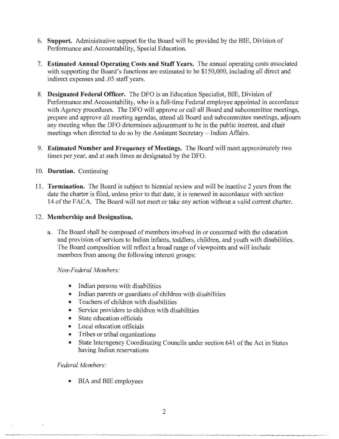- 6. **Support.** Administrative support for the Board will be provided by the BIE, Division of Performance and Accountability, Special Education.
- 7. **Estimated Annual Operating Costs and Staff Years.** The annual operating costs associated with supporting the Board's functions are estimated to be \$150,000, including all direct and indirect expenses and .05 staff years.
- 8. **Designated Federal Officer.** The DFO is an Education Specialist, BIE, Division of Performance and Accountability, who is a full-time Federal employee appointed in accordance with Agency procedures. The DFO will approve or call all Board and subcommittee meetings, prepare and approve all meeting agendas, attend all Board and subcommittee meetings, adjourn any meeting when the DFO determines adjournment to be in the public interest, and chair meetings when directed to do so by the Assistant Secretary - Indian Affairs.
- 9. **Estimated Number and Frequency of Meetings.** The Board will meet approximately two times per year, and at such times as designated by the DFO.
- 10. **Duration.** Continuing
- 11. **Termination.** The Board is subject to biennial review and will be inactive 2 years from the date the charter is filed, unless prior to that date, it is renewed in accordance with section 14 of the FACA. The Board will not meet or take any action without a valid current charter.

## 12. **Membership and Designation.**

a. The Board shall be composed of members involved in or concerned with the education and provision of services to Indian infants, toddlers, children, and youth with disabilities. The Board composition will reflect a broad range of viewpoints and will include members from among the following interest groups:

*Non-Federal Members:* 

- Indian persons with disabilities
- Indian parents or guardians of children with disabilities
- Teachers of children with disabilities
- Service providers to children with disabilities
- State education officials
- Local education officials
- Tribes or tribal organizations
- State Interagency Coordinating Councils under section 641 of the Act in States having Indian reservations

*Federal Members:* 

• BIA and BIE employees